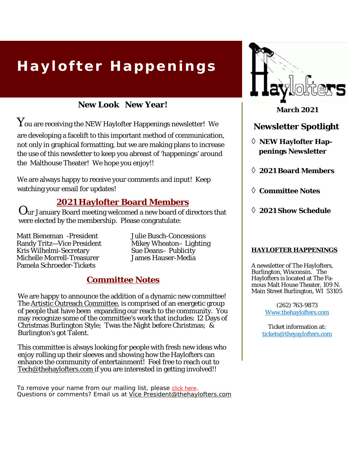# **Haylofter Happenings**

**New Look New Year!** 

 $\mathbf Y$ ou are receiving the NEW Haylofter Happenings newsletter! We are developing a facelift to this important method of communication, not only in graphical formatting, but we are making plans to increase the use of this newsletter to keep you abreast of 'happenings' around the Malthouse Theater! We hope you enjoy!!

We are always happy to receive your comments and input! Keep watching your email for updates!

## **2021 Haylofter Board Members**

Our January Board meeting welcomed a new board of directors that were elected by the membership. Please congratulate:

Matt Bieneman -President Randy Tritz—Vice President Kris Wilhelmi-Secretary Michelle Morrell-Treasurer Pamela Schroeder-Tickets

Julie Busch-Concessions Mikey Wheaton– Lighting Sue Deans– Publicity James Hauser-Media

# **Committee Notes**

We are happy to announce the addition of a dynamic new committee! The Artistic Outreach Committee, is comprised of an energetic group of people that have been expanding our reach to the community. You may recognize some of the committee's work that includes: 12 Days of Christmas Burlington Style; Twas the Night before Christmas;  $\&$ Burlington's got Talent.

This committee is always looking for people with fresh new ideas who enjoy rolling up their sleeves and showing how the Haylofters can enhance the community of entertainment! Feel free to reach out to Tech@thehaylofters.com if you are interested in getting involved!!

To remove your name from our mailing list, please click here. Questions or comments? Email us at Vice President@thehaylofters.com



**March 2021** 

### **Newsletter Spotlight**

 **NEW Haylofter Happenings Newsletter** 

**2021 Board Members** 

- **Committee Notes**
- **2021 Show Schedule**

#### **HAYLOFTER HAPPENINGS**

A newsletter of The Haylofters, Burlington, Wisconsin. The Haylofters is located at The Famous Malt House Theater, 109 N. Main Street Burlington, WI 53105

> (262) 763-9873 Www.thehaylofters.com

Ticket information at: tickets@theyaylofters.com